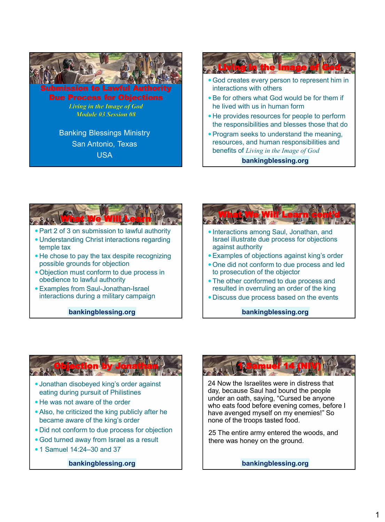



**bankingblessing.org**









24 Now the Israelites were in distress that day, because Saul had bound the people under an oath, saying, "Cursed be anyone who eats food before evening comes, before I have avenged myself on my enemies!" So none of the troops tasted food.

25 The entire army entered the woods, and there was honey on the ground.

**bankingblessing.org**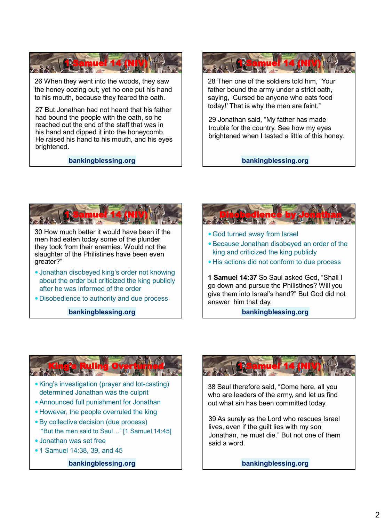

26 When they went into the woods, they saw the honey oozing out; yet no one put his hand to his mouth, because they feared the oath.

27 But Jonathan had not heard that his father had bound the people with the oath, so he reached out the end of the staff that was in his hand and dipped it into the honeycomb. He raised his hand to his mouth, and his eyes brightened.

**bankingblessing.org**



28 Then one of the soldiers told him, "Your father bound the army under a strict oath, saying, 'Cursed be anyone who eats food today!' That is why the men are faint."

29 Jonathan said, "My father has made trouble for the country. See how my eyes brightened when I tasted a little of this honey.

**bankingblessing.org**



- Jonathan disobeyed king's order not knowing about the order but criticized the king publicly after he was informed of the order
- Disobedience to authority and due process

**bankingblessing.org**



#### **bankingblessing.org**



- "But the men said to Saul…" [1 Samuel 14:45]
- Jonathan was set free
- 1 Samuel 14:38, 39, and 45

**bankingblessing.org**



38 Saul therefore said, "Come here, all you who are leaders of the army, and let us find out what sin has been committed today.

39 As surely as the Lord who rescues Israel lives, even if the guilt lies with my son Jonathan, he must die." But not one of them said a word.

**bankingblessing.org**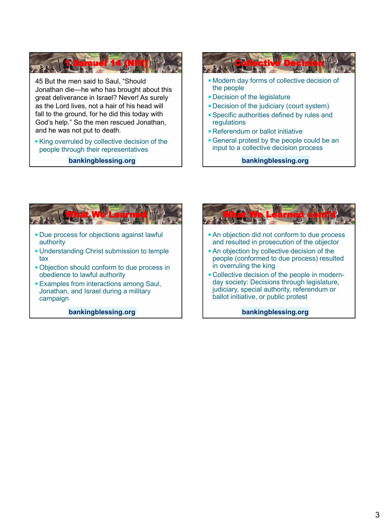**1 Samuel 14 (NIV)** 45 But the men said to Saul, "Should Jonathan die—he who has brought about this great deliverance in Israel? Never! As surely as the Lord lives, not a hair of his head will fall to the ground, for he did this today with God's help." So the men rescued Jonathan, and he was not put to death.

• King overruled by collective decision of the people through their representatives

**bankingblessing.org**





Jonathan, and Israel during a military campaign

**bankingblessing.org**



- An objection did not conform to due process and resulted in prosecution of the objector
- An objection by collective decision of the people (conformed to due process) resulted in overruling the king
- Collective decision of the people in modernday society: Decisions through legislature, judiciary, special authority, referendum or ballot initiative, or public protest

**bankingblessing.org**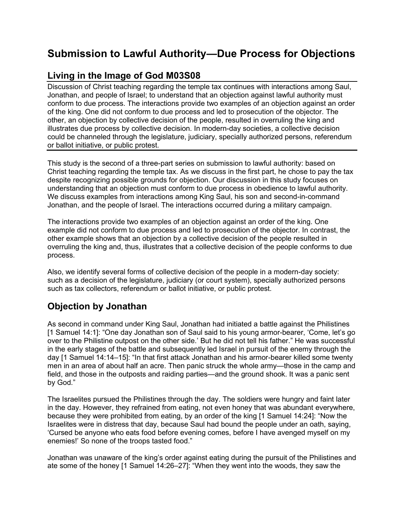# **Submission to Lawful Authority—Due Process for Objections**

# **Living in the Image of God M03S08**

Discussion of Christ teaching regarding the temple tax continues with interactions among Saul, Jonathan, and people of Israel; to understand that an objection against lawful authority must conform to due process. The interactions provide two examples of an objection against an order of the king. One did not conform to due process and led to prosecution of the objector. The other, an objection by collective decision of the people, resulted in overruling the king and illustrates due process by collective decision. In modern-day societies, a collective decision could be channeled through the legislature, judiciary, specially authorized persons, referendum or ballot initiative, or public protest.

This study is the second of a three-part series on submission to lawful authority: based on Christ teaching regarding the temple tax. As we discuss in the first part, he chose to pay the tax despite recognizing possible grounds for objection. Our discussion in this study focuses on understanding that an objection must conform to due process in obedience to lawful authority. We discuss examples from interactions among King Saul, his son and second-in-command Jonathan, and the people of Israel. The interactions occurred during a military campaign.

The interactions provide two examples of an objection against an order of the king. One example did not conform to due process and led to prosecution of the objector. In contrast, the other example shows that an objection by a collective decision of the people resulted in overruling the king and, thus, illustrates that a collective decision of the people conforms to due process.

Also, we identify several forms of collective decision of the people in a modern-day society: such as a decision of the legislature, judiciary (or court system), specially authorized persons such as tax collectors, referendum or ballot initiative, or public protest.

# **Objection by Jonathan**

As second in command under King Saul, Jonathan had initiated a battle against the Philistines [1 Samuel 14:1]: "One day Jonathan son of Saul said to his young armor-bearer, 'Come, let's go over to the Philistine outpost on the other side.' But he did not tell his father." He was successful in the early stages of the battle and subsequently led Israel in pursuit of the enemy through the day [1 Samuel 14:14–15]: "In that first attack Jonathan and his armor-bearer killed some twenty men in an area of about half an acre. Then panic struck the whole army—those in the camp and field, and those in the outposts and raiding parties—and the ground shook. It was a panic sent by God."

The Israelites pursued the Philistines through the day. The soldiers were hungry and faint later in the day. However, they refrained from eating, not even honey that was abundant everywhere, because they were prohibited from eating, by an order of the king [1 Samuel 14:24]: "Now the Israelites were in distress that day, because Saul had bound the people under an oath, saying, 'Cursed be anyone who eats food before evening comes, before I have avenged myself on my enemies!' So none of the troops tasted food."

Jonathan was unaware of the king's order against eating during the pursuit of the Philistines and ate some of the honey [1 Samuel 14:26–27]: "When they went into the woods, they saw the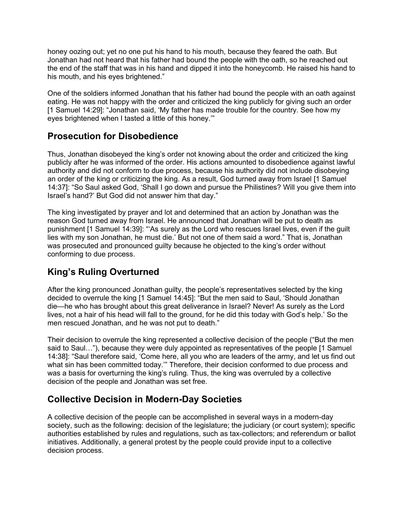honey oozing out; yet no one put his hand to his mouth, because they feared the oath. But Jonathan had not heard that his father had bound the people with the oath, so he reached out the end of the staff that was in his hand and dipped it into the honeycomb. He raised his hand to his mouth, and his eyes brightened."

One of the soldiers informed Jonathan that his father had bound the people with an oath against eating. He was not happy with the order and criticized the king publicly for giving such an order [1 Samuel 14:29]: "Jonathan said, 'My father has made trouble for the country. See how my eyes brightened when I tasted a little of this honey.'"

#### **Prosecution for Disobedience**

Thus, Jonathan disobeyed the king's order not knowing about the order and criticized the king publicly after he was informed of the order. His actions amounted to disobedience against lawful authority and did not conform to due process, because his authority did not include disobeying an order of the king or criticizing the king. As a result, God turned away from Israel [1 Samuel 14:37]: "So Saul asked God, 'Shall I go down and pursue the Philistines? Will you give them into Israel's hand?' But God did not answer him that day."

The king investigated by prayer and lot and determined that an action by Jonathan was the reason God turned away from Israel. He announced that Jonathan will be put to death as punishment [1 Samuel 14:39]: "'As surely as the Lord who rescues Israel lives, even if the guilt lies with my son Jonathan, he must die.' But not one of them said a word." That is, Jonathan was prosecuted and pronounced guilty because he objected to the king's order without conforming to due process.

### **King's Ruling Overturned**

After the king pronounced Jonathan guilty, the people's representatives selected by the king decided to overrule the king [1 Samuel 14:45]: "But the men said to Saul, 'Should Jonathan die—he who has brought about this great deliverance in Israel? Never! As surely as the Lord lives, not a hair of his head will fall to the ground, for he did this today with God's help.' So the men rescued Jonathan, and he was not put to death."

Their decision to overrule the king represented a collective decision of the people ("But the men said to Saul…"), because they were duly appointed as representatives of the people [1 Samuel 14:38]: "Saul therefore said, 'Come here, all you who are leaders of the army, and let us find out what sin has been committed today.'" Therefore, their decision conformed to due process and was a basis for overturning the king's ruling. Thus, the king was overruled by a collective decision of the people and Jonathan was set free.

# **Collective Decision in Modern-Day Societies**

A collective decision of the people can be accomplished in several ways in a modern-day society, such as the following: decision of the legislature; the judiciary (or court system); specific authorities established by rules and regulations, such as tax-collectors; and referendum or ballot initiatives. Additionally, a general protest by the people could provide input to a collective decision process.